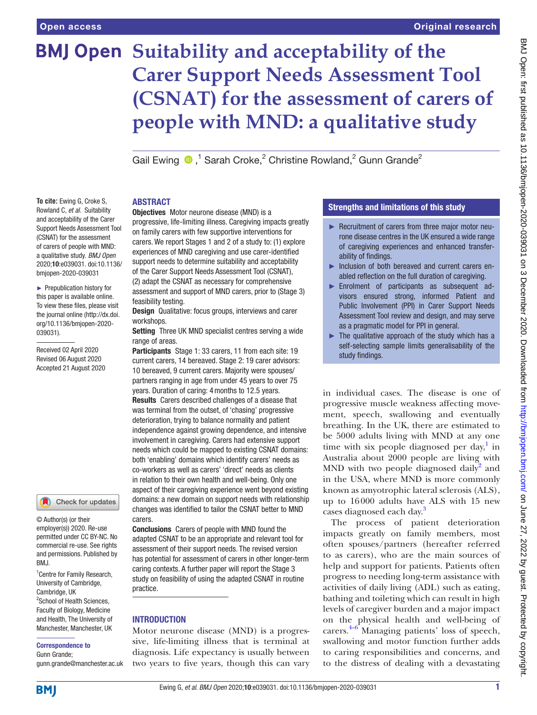# **BMJ Open** Suitability and acceptability of the **Carer Support Needs Assessment Tool (CSNAT) for the assessment of carers of people with MND: a qualitative study**

GailEwing  $\bigcirc$ ,<sup>1</sup> Sarah Croke,<sup>2</sup> Christine Rowland,<sup>2</sup> Gunn Grande<sup>2</sup>

# ABSTRACT

**To cite:** Ewing G, Croke S, Rowland C, *et al*. Suitability and acceptability of the Carer Support Needs Assessment Tool (CSNAT) for the assessment of carers of people with MND: a qualitative study. *BMJ Open* 2020;10:e039031. doi:10.1136/ bmjopen-2020-039031

► Prepublication history for this paper is available online. To view these files, please visit the journal online (http://dx.doi. org/10.1136/bmjopen-2020- 039031).

Received 02 April 2020 Revised 06 August 2020 Accepted 21 August 2020

#### Check for updates

© Author(s) (or their employer(s)) 2020. Re-use permitted under CC BY-NC. No commercial re-use. See rights and permissions. Published by RM<sub>J</sub>

<sup>1</sup> Centre for Family Research, University of Cambridge, Cambridge, UK <sup>2</sup>School of Health Sciences, Faculty of Biology, Medicine and Health, The University of Manchester, Manchester, UK

## Correspondence to

Gunn Grande; gunn.grande@manchester.ac.uk

**Objectives** Motor neurone disease (MND) is a progressive, life-limiting illness. Caregiving impacts greatly on family carers with few supportive interventions for carers. We report Stages 1 and 2 of a study to: (1) explore experiences of MND caregiving and use carer-identified support needs to determine suitability and acceptability of the Carer Support Needs Assessment Tool (CSNAT), (2) adapt the CSNAT as necessary for comprehensive assessment and support of MND carers, prior to (Stage 3) feasibility testing.

Design Qualitative: focus groups, interviews and carer workshops.

Setting Three UK MND specialist centres serving a wide range of areas.

Participants Stage 1: 33 carers, 11 from each site: 19 current carers, 14 bereaved. Stage 2: 19 carer advisors: 10 bereaved, 9 current carers. Majority were spouses/ partners ranging in age from under 45 years to over 75 years. Duration of caring: 4months to 12.5 years. Results Carers described challenges of a disease that was terminal from the outset, of 'chasing' progressive deterioration, trying to balance normality and patient independence against growing dependence, and intensive involvement in caregiving. Carers had extensive support needs which could be mapped to existing CSNAT domains: both 'enabling' domains which identify carers' needs as co-workers as well as carers' 'direct' needs as clients in relation to their own health and well-being. Only one aspect of their caregiving experience went beyond existing domains: a new domain on support needs with relationship changes was identified to tailor the CSNAT better to MND carers.

Conclusions Carers of people with MND found the adapted CSNAT to be an appropriate and relevant tool for assessment of their support needs. The revised version has potential for assessment of carers in other longer-term caring contexts. A further paper will report the Stage 3 study on feasibility of using the adapted CSNAT in routine practice.

# INTRODUCTION

Motor neurone disease (MND) is a progressive, life-limiting illness that is terminal at diagnosis. Life expectancy is usually between two years to five years, though this can vary

# Strengths and limitations of this study

- ► Recruitment of carers from three major motor neurone disease centres in the UK ensured a wide range of caregiving experiences and enhanced transferability of findings.
- ► Inclusion of both bereaved and current carers enabled reflection on the full duration of caregiving.
- ► Enrolment of participants as subsequent advisors ensured strong, informed Patient and Public Involvement (PPI) in Carer Support Needs Assessment Tool review and design, and may serve as a pragmatic model for PPI in general.
- $\blacktriangleright$  The qualitative approach of the study which has a self-selecting sample limits generalisability of the study findings.

in individual cases. The disease is one of progressive muscle weakness affecting movement, speech, swallowing and eventually breathing. In the UK, there are estimated to be 5000 adults living with MND at any one time with six people diagnosed per day, $\frac{1}{1}$  $\frac{1}{1}$  $\frac{1}{1}$  in Australia about 2000 people are living with MND with two people diagnosed daily<sup>[2](#page-12-1)</sup> and in the USA, where MND is more commonly known as amyotrophic lateral sclerosis (ALS), up to 16000 adults have ALS with 15 new cases diagnosed each day. [3](#page-12-2)

The process of patient deterioration impacts greatly on family members, most often spouses/partners (hereafter referred to as carers), who are the main sources of help and support for patients. Patients often progress to needing long-term assistance with activities of daily living (ADL) such as eating, bathing and toileting which can result in high levels of caregiver burden and a major impact on the physical health and well-being of carers. [4–6](#page-12-3) Managing patients' loss of speech, swallowing and motor function further adds to caring responsibilities and concerns, and to the distress of dealing with a devastating

**BMI**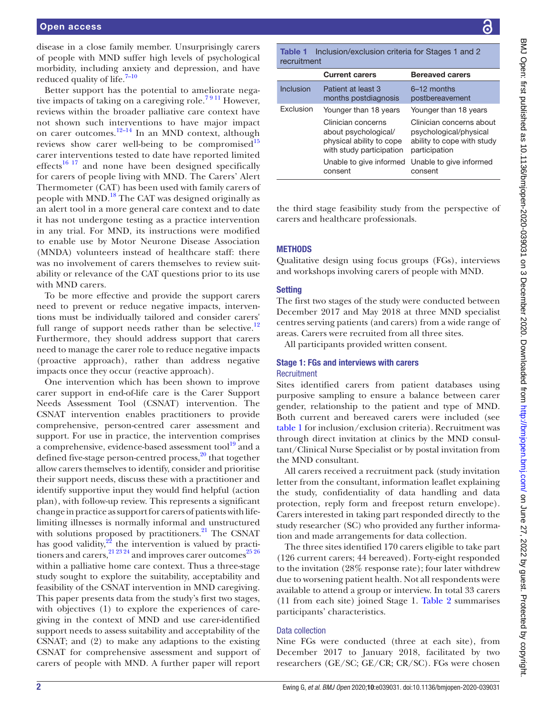disease in a close family member. Unsurprisingly carers of people with MND suffer high levels of psychological morbidity, including anxiety and depression, and have reduced quality of life. $7-10$ 

Better support has the potential to ameliorate negative impacts of taking on a caregiving role.<sup>7911</sup> However, reviews within the broader palliative care context have not shown such interventions to have major impact on carer outcomes.<sup>[12–14](#page-12-5)</sup> In an MND context, although reviews show carer well-being to be compromised<sup>[15](#page-12-6)</sup> carer interventions tested to date have reported limited effects $16 17$  and none have been designed specifically for carers of people living with MND. The Carers' Alert Thermometer (CAT) has been used with family carers of people with MND.[18](#page-12-8) The CAT was designed originally as an alert tool in a more general care context and to date it has not undergone testing as a practice intervention in any trial. For MND, its instructions were modified to enable use by Motor Neurone Disease Association (MNDA) volunteers instead of healthcare staff: there was no involvement of carers themselves to review suitability or relevance of the CAT questions prior to its use with MND carers.

To be more effective and provide the support carers need to prevent or reduce negative impacts, interventions must be individually tailored and consider carers' full range of support needs rather than be selective.<sup>[12](#page-12-5)</sup> Furthermore, they should address support that carers need to manage the carer role to reduce negative impacts (proactive approach), rather than address negative impacts once they occur (reactive approach).

One intervention which has been shown to improve carer support in end-of-life care is the Carer Support Needs Assessment Tool (CSNAT) intervention. The CSNAT intervention enables practitioners to provide comprehensive, person-centred carer assessment and support. For use in practice, the intervention comprises a comprehensive, evidence-based assessment tool $^{19}$  and a defined five-stage person-centred process,<sup>20</sup> that together allow carers themselves to identify, consider and prioritise their support needs, discuss these with a practitioner and identify supportive input they would find helpful (action plan), with follow-up review. This represents a significant change in practice as support for carers of patients with lifelimiting illnesses is normally informal and unstructured with solutions proposed by practitioners.<sup>[21](#page-12-11)</sup> The CSNAT has good validity, $2^2$  the intervention is valued by practitioners and carers, $^{21\,23\,24}$  and improves carer outcomes $^{25\,26}$ within a palliative home care context. Thus a three-stage study sought to explore the suitability, acceptability and feasibility of the CSNAT intervention in MND caregiving. This paper presents data from the study's first two stages, with objectives (1) to explore the experiences of caregiving in the context of MND and use carer-identified support needs to assess suitability and acceptability of the CSNAT; and (2) to make any adaptions to the existing CSNAT for comprehensive assessment and support of carers of people with MND. A further paper will report

<span id="page-1-0"></span>Table 1 Inclusion/exclusion criteria for Stages 1 and 2 recruitment

|                  | <b>Current carers</b>                                                                              | <b>Bereaved carers</b>                                                                            |
|------------------|----------------------------------------------------------------------------------------------------|---------------------------------------------------------------------------------------------------|
| Inclusion        | Patient at least 3<br>months postdiagnosis                                                         | $6-12$ months<br>postbereavement                                                                  |
| <b>Exclusion</b> | Younger than 18 years                                                                              | Younger than 18 years                                                                             |
|                  | Clinician concerns<br>about psychological/<br>physical ability to cope<br>with study participation | Clinician concerns about<br>psychological/physical<br>ability to cope with study<br>participation |
|                  | Unable to give informed<br>consent                                                                 | Unable to give informed<br>consent                                                                |

the third stage feasibility study from the perspective of carers and healthcare professionals.

# **METHODS**

Qualitative design using focus groups (FGs), interviews and workshops involving carers of people with MND.

# **Setting**

The first two stages of the study were conducted between December 2017 and May 2018 at three MND specialist centres serving patients (and carers) from a wide range of areas. Carers were recruited from all three sites.

All participants provided written consent.

## Stage 1: FGs and interviews with carers **Recruitment**

Sites identified carers from patient databases using purposive sampling to ensure a balance between carer gender, relationship to the patient and type of MND. Both current and bereaved carers were included (see [table](#page-1-0) 1 for inclusion/exclusion criteria). Recruitment was through direct invitation at clinics by the MND consultant/Clinical Nurse Specialist or by postal invitation from the MND consultant.

All carers received a recruitment pack (study invitation letter from the consultant, information leaflet explaining the study, confidentiality of data handling and data protection, reply form and freepost return envelope). Carers interested in taking part responded directly to the study researcher (SC) who provided any further information and made arrangements for data collection.

The three sites identified 170 carers eligible to take part (126 current carers; 44 bereaved). Forty-eight responded to the invitation (28% response rate); four later withdrew due to worsening patient health. Not all respondents were available to attend a group or interview. In total 33 carers (11 from each site) joined Stage 1. [Table](#page-2-0) 2 summarises participants' characteristics.

# Data collection

Nine FGs were conducted (three at each site), from December 2017 to January 2018, facilitated by two researchers (GE/SC; GE/CR; CR/SC). FGs were chosen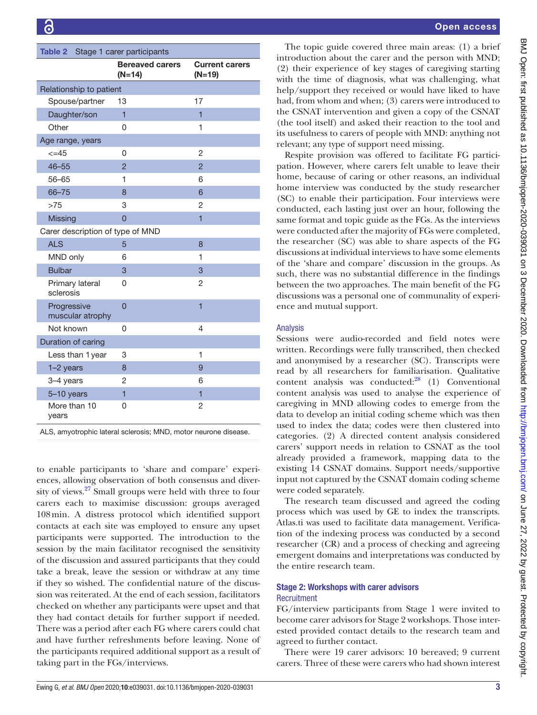<span id="page-2-0"></span>

| Table 2 Stage 1 carer participants |                                                              |                                   |  |
|------------------------------------|--------------------------------------------------------------|-----------------------------------|--|
|                                    | <b>Bereaved carers</b><br>$(N=14)$                           | <b>Current carers</b><br>$(N=19)$ |  |
| Relationship to patient            |                                                              |                                   |  |
| Spouse/partner                     | 13                                                           | 17                                |  |
| Daughter/son                       | 1                                                            | 1                                 |  |
| Other                              | 0                                                            | 1                                 |  |
| Age range, years                   |                                                              |                                   |  |
| $<=45$                             | 0                                                            | 2                                 |  |
| $46 - 55$                          | $\overline{2}$                                               | $\overline{2}$                    |  |
| 56-65                              | 1                                                            | 6                                 |  |
| $66 - 75$                          | 8                                                            | 6                                 |  |
| >75                                | 3                                                            | $\overline{2}$                    |  |
| <b>Missing</b>                     | 0                                                            | 1                                 |  |
| Carer description of type of MND   |                                                              |                                   |  |
| <b>ALS</b>                         | 5                                                            | 8                                 |  |
| MND only                           | 6                                                            | 1                                 |  |
| <b>Bulbar</b>                      | 3                                                            | 3                                 |  |
| Primary lateral<br>sclerosis       | 0                                                            | 2                                 |  |
| Progressive<br>muscular atrophy    | 0                                                            | $\overline{1}$                    |  |
| Not known                          | 0                                                            | 4                                 |  |
| Duration of caring                 |                                                              |                                   |  |
| Less than 1 year                   | 3                                                            | $\mathbf{1}$                      |  |
| $1-2$ years                        | 8                                                            | 9                                 |  |
| 3-4 years                          | 2                                                            | 6                                 |  |
| 5-10 years                         | 1                                                            | 1                                 |  |
| More than 10<br>years              | 0                                                            | 2                                 |  |
|                                    | ALC amustraphic leteral coloragio: MND metar nourano diosoco |                                   |  |

3, amyotrophic lateral sclerosis; MND, motor neurone disease

to enable participants to 'share and compare' experiences, allowing observation of both consensus and diversity of views.<sup>27</sup> Small groups were held with three to four carers each to maximise discussion: groups averaged 108min. A distress protocol which identified support contacts at each site was employed to ensure any upset participants were supported. The introduction to the session by the main facilitator recognised the sensitivity of the discussion and assured participants that they could take a break, leave the session or withdraw at any time if they so wished. The confidential nature of the discussion was reiterated. At the end of each session, facilitators checked on whether any participants were upset and that they had contact details for further support if needed. There was a period after each FG where carers could chat and have further refreshments before leaving. None of the participants required additional support as a result of taking part in the FGs/interviews.

The topic guide covered three main areas: (1) a brief introduction about the carer and the person with MND; (2) their experience of key stages of caregiving starting with the time of diagnosis, what was challenging, what help/support they received or would have liked to have had, from whom and when; (3) carers were introduced to the CSNAT intervention and given a copy of the CSNAT (the tool itself) and asked their reaction to the tool and its usefulness to carers of people with MND: anything not relevant; any type of support need missing.

Respite provision was offered to facilitate FG participation. However, where carers felt unable to leave their home, because of caring or other reasons, an individual home interview was conducted by the study researcher (SC) to enable their participation. Four interviews were conducted, each lasting just over an hour, following the same format and topic guide as the FGs. As the interviews were conducted after the majority of FGs were completed, the researcher (SC) was able to share aspects of the FG discussions at individual interviews to have some elements of the 'share and compare' discussion in the groups. As such, there was no substantial difference in the findings between the two approaches. The main benefit of the FG discussions was a personal one of communality of experience and mutual support.

## Analysis

Sessions were audio-recorded and field notes were written. Recordings were fully transcribed, then checked and anonymised by a researcher (SC). Transcripts were read by all researchers for familiarisation. Qualitative content analysis was conducted: $28$  (1) Conventional content analysis was used to analyse the experience of caregiving in MND allowing codes to emerge from the data to develop an initial coding scheme which was then used to index the data; codes were then clustered into categories. (2) A directed content analysis considered carers' support needs in relation to CSNAT as the tool already provided a framework, mapping data to the existing 14 CSNAT domains. Support needs/supportive input not captured by the CSNAT domain coding scheme were coded separately.

The research team discussed and agreed the coding process which was used by GE to index the transcripts. Atlas.ti was used to facilitate data management. Verification of the indexing process was conducted by a second researcher (CR) and a process of checking and agreeing emergent domains and interpretations was conducted by the entire research team.

# Stage 2: Workshops with carer advisors **Recruitment**

FG/interview participants from Stage 1 were invited to become carer advisors for Stage 2 workshops. Those interested provided contact details to the research team and agreed to further contact.

There were 19 carer advisors: 10 bereaved; 9 current carers. Three of these were carers who had shown interest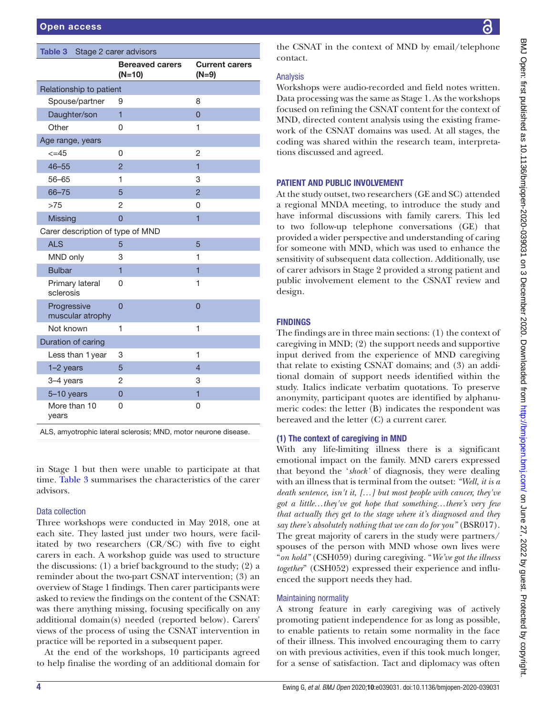<span id="page-3-0"></span>

| Table 3<br>Stage 2 carer advisors |                                    |                                  |  |
|-----------------------------------|------------------------------------|----------------------------------|--|
|                                   | <b>Bereaved carers</b><br>$(N=10)$ | <b>Current carers</b><br>$(N=9)$ |  |
| Relationship to patient           |                                    |                                  |  |
| Spouse/partner                    | 9                                  | 8                                |  |
| Daughter/son                      | 1                                  | 0                                |  |
| Other                             | 0                                  | 1                                |  |
| Age range, years                  |                                    |                                  |  |
| $\leq$ = 45                       | 0                                  | 2                                |  |
| $46 - 55$                         | $\overline{2}$                     | 1                                |  |
| 56-65                             | 1                                  | 3                                |  |
| 66-75                             | 5                                  | 2                                |  |
| >75                               | 2                                  | 0                                |  |
| <b>Missing</b>                    | 0                                  | 1                                |  |
| Carer description of type of MND  |                                    |                                  |  |
| <b>ALS</b>                        | 5                                  | 5                                |  |
| MND only                          | 3                                  | 1                                |  |
| <b>Bulbar</b>                     | 1                                  | $\overline{1}$                   |  |
| Primary lateral<br>sclerosis      | 0                                  | 1                                |  |
| Progressive<br>muscular atrophy   | 0                                  | 0                                |  |
| Not known                         | 1                                  | 1                                |  |
| Duration of caring                |                                    |                                  |  |
| Less than 1 year                  | 3                                  | 1                                |  |
| $1-2$ years                       | 5                                  | 4                                |  |
| 3-4 years                         | 2                                  | 3                                |  |
| 5-10 years                        | 0                                  | 1                                |  |
| More than 10<br>years             | 0                                  | 0                                |  |

ALS, amyotrophic lateral sclerosis; MND, motor neurone disease.

in Stage 1 but then were unable to participate at that time. [Table](#page-3-0) 3 summarises the characteristics of the carer advisors.

## Data collection

Three workshops were conducted in May 2018, one at each site. They lasted just under two hours, were facilitated by two researchers (CR/SC) with five to eight carers in each. A workshop guide was used to structure the discussions: (1) a brief background to the study; (2) a reminder about the two-part CSNAT intervention; (3) an overview of Stage 1 findings. Then carer participants were asked to review the findings on the content of the CSNAT: was there anything missing, focusing specifically on any additional domain(s) needed (reported below). Carers' views of the process of using the CSNAT intervention in practice will be reported in a subsequent paper.

At the end of the workshops, 10 participants agreed to help finalise the wording of an additional domain for the CSNAT in the context of MND by email/telephone contact.

## Analysis

Workshops were audio-recorded and field notes written. Data processing was the same as Stage 1. As the workshops focused on refining the CSNAT content for the context of MND, directed content analysis using the existing framework of the CSNAT domains was used. At all stages, the coding was shared within the research team, interpretations discussed and agreed.

## PATIENT AND PUBLIC INVOLVEMENT

At the study outset, two researchers (GE and SC) attended a regional MNDA meeting, to introduce the study and have informal discussions with family carers. This led to two follow-up telephone conversations (GE) that provided a wider perspective and understanding of caring for someone with MND, which was used to enhance the sensitivity of subsequent data collection. Additionally, use of carer advisors in Stage 2 provided a strong patient and public involvement element to the CSNAT review and design.

# FINDINGS

The findings are in three main sections: (1) the context of caregiving in MND; (2) the support needs and supportive input derived from the experience of MND caregiving that relate to existing CSNAT domains; and (3) an additional domain of support needs identified within the study. Italics indicate verbatim quotations. To preserve anonymity, participant quotes are identified by alphanumeric codes: the letter (B) indicates the respondent was bereaved and the letter (C) a current carer.

## (1) The context of caregiving in MND

With any life-limiting illness there is a significant emotional impact on the family. MND carers expressed that beyond the '*shock'* of diagnosis, they were dealing with an illness that is terminal from the outset: *"Well, it is a death sentence, isn't it, […] but most people with cancer, they've got a little…they've got hope that something…there's very few that actually they get to the stage where it's diagnosed and they say there's absolutely nothing that we can do for you"* (BSR017). The great majority of carers in the study were partners/ spouses of the person with MND whose own lives were "*on hold"* (CSH059) during caregiving. "*We've got the illness together*" (CSH052) expressed their experience and influenced the support needs they had.

## Maintaining normality

A strong feature in early caregiving was of actively promoting patient independence for as long as possible, to enable patients to retain some normality in the face of their illness. This involved encouraging them to carry on with previous activities, even if this took much longer, for a sense of satisfaction. Tact and diplomacy was often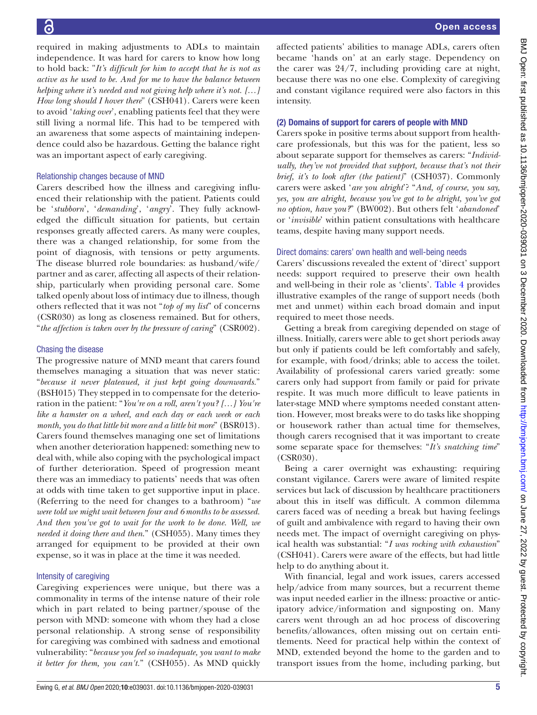required in making adjustments to ADLs to maintain independence. It was hard for carers to know how long to hold back: "*It's difficult for him to accept that he is not as active as he used to be. And for me to have the balance between helping where it's needed and not giving help where it's not. […] How long should I hover there*" (CSH041). Carers were keen to avoid '*taking over*', enabling patients feel that they were still living a normal life. This had to be tempered with an awareness that some aspects of maintaining independence could also be hazardous. Getting the balance right was an important aspect of early caregiving.

## Relationship changes because of MND

Carers described how the illness and caregiving influenced their relationship with the patient. Patients could be '*stubborn*', '*demanding*', '*angry*'. They fully acknowledged the difficult situation for patients, but certain responses greatly affected carers. As many were couples, there was a changed relationship, for some from the point of diagnosis, with tensions or petty arguments. The disease blurred role boundaries: as husband/wife/ partner and as carer, affecting all aspects of their relationship, particularly when providing personal care. Some talked openly about loss of intimacy due to illness, though others reflected that it was not "*top of my list*" of concerns (CSR030) as long as closeness remained. But for others, "*the affection is taken over by the pressure of caring*" (CSR002).

# Chasing the disease

The progressive nature of MND meant that carers found themselves managing a situation that was never static: "*because it never plateaued, it just kept going downwards.*" (BSH015) They stepped in to compensate for the deterioration in the patient: "*You're on a roll, aren't you? […] You're like a hamster on a wheel, and each day or each week or each month, you do that little bit more and a little bit more*" (BSR013). Carers found themselves managing one set of limitations when another deterioration happened: something new to deal with, while also coping with the psychological impact of further deterioration. Speed of progression meant there was an immediacy to patients' needs that was often at odds with time taken to get supportive input in place. (Referring to the need for changes to a bathroom) "*we were told we might wait between four and 6months to be assessed. And then you've got to wait for the work to be done. Well, we needed it doing there and then*." (CSH055). Many times they arranged for equipment to be provided at their own expense, so it was in place at the time it was needed.

# Intensity of caregiving

Caregiving experiences were unique, but there was a commonality in terms of the intense nature of their role which in part related to being partner/spouse of the person with MND: someone with whom they had a close personal relationship. A strong sense of responsibility for caregiving was combined with sadness and emotional vulnerability: "*because you feel so inadequate, you want to make it better for them, you can't.*" (CSH055). As MND quickly

affected patients' abilities to manage ADLs, carers often became 'hands on' at an early stage. Dependency on the carer was 24/7, including providing care at night, because there was no one else. Complexity of caregiving and constant vigilance required were also factors in this intensity.

# (2) Domains of support for carers of people with MND

Carers spoke in positive terms about support from healthcare professionals, but this was for the patient, less so about separate support for themselves as carers: "*Individually, they've not provided that support, because that's not their brief, it's to look after (the patient)*" (CSH037). Commonly carers were asked '*are you alright*'? "*And, of course, you say, yes, you are alright, because you've got to be alright, you've got no option, have you?*" (BW002). But others felt '*abandoned*' or '*invisible*' within patient consultations with healthcare teams, despite having many support needs.

## Direct domains: carers' own health and well-being needs

Carers' discussions revealed the extent of 'direct' support needs: support required to preserve their own health and well-being in their role as 'clients'. [Table](#page-5-0) 4 provides illustrative examples of the range of support needs (both met and unmet) within each broad domain and input required to meet those needs.

Getting a break from caregiving depended on stage of illness. Initially, carers were able to get short periods away but only if patients could be left comfortably and safely, for example, with food/drinks; able to access the toilet. Availability of professional carers varied greatly: some carers only had support from family or paid for private respite. It was much more difficult to leave patients in later-stage MND where symptoms needed constant attention. However, most breaks were to do tasks like shopping or housework rather than actual time for themselves, though carers recognised that it was important to create some separate space for themselves: "*It's snatching time*" (CSR030).

Being a carer overnight was exhausting: requiring constant vigilance. Carers were aware of limited respite services but lack of discussion by healthcare practitioners about this in itself was difficult. A common dilemma carers faced was of needing a break but having feelings of guilt and ambivalence with regard to having their own needs met. The impact of overnight caregiving on physical health was substantial: "*I was rocking with exhaustion*" (CSH041). Carers were aware of the effects, but had little help to do anything about it.

With financial, legal and work issues, carers accessed help/advice from many sources, but a recurrent theme was input needed earlier in the illness: proactive or anticipatory advice/information and signposting on. Many carers went through an ad hoc process of discovering benefits/allowances, often missing out on certain entitlements. Need for practical help within the context of MND, extended beyond the home to the garden and to transport issues from the home, including parking, but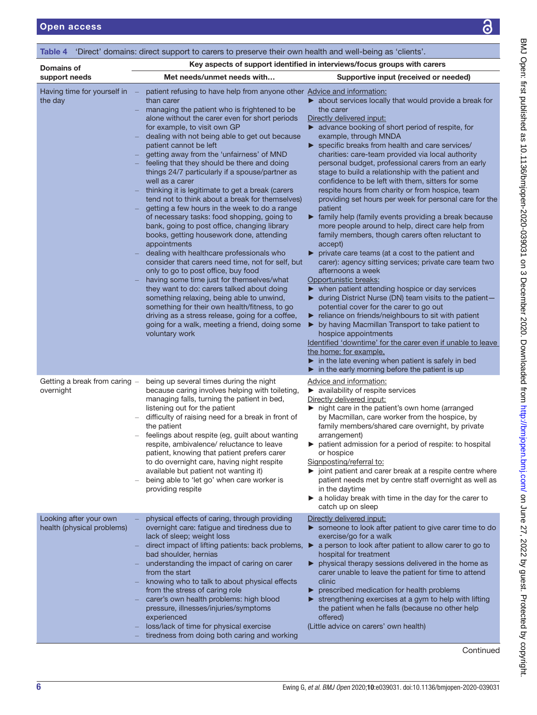Having time for yourself in

Getting a break from caring

Looking after your own health (physical problems)

overnight

Domains of support needs

the day

<span id="page-5-0"></span>Table 4 'Direct' domains: direct support to carers to preserve their own health and well-being as 'clients'.

for example, to visit own GP

patient cannot be left

well as a carer

appointments

voluntary work

the patient

providing respite

lack of sleep; weight loss

from the stress of caring role

bad shoulder, hernias

from the start

experienced

dealing with not being able to get out because

– getting away from the 'unfairness' of MND feeling that they should be there and doing things 24/7 particularly if a spouse/partner as

thinking it is legitimate to get a break (carers tend not to think about a break for themselves) getting a few hours in the week to do a range of necessary tasks: food shopping, going to bank, going to post office, changing library books, getting housework done, attending

dealing with healthcare professionals who consider that carers need time, not for self, but

only to go to post office, buy food having some time just for themselves/what they want to do: carers talked about doing something relaxing, being able to unwind, something for their own health/fitness, to go driving as a stress release, going for a coffee, going for a walk, meeting a friend, doing some

– being up several times during the night

listening out for the patient

managing falls, turning the patient in bed,

– difficulty of raising need for a break in front of

feelings about respite (eg, guilt about wanting respite, ambivalence/ reluctance to leave patient, knowing that patient prefers carer to do overnight care, having night respite available but patient not wanting it) being able to 'let go' when care worker is

– physical effects of caring, through providing overnight care: fatigue and tiredness due to

– understanding the impact of caring on carer

knowing who to talk to about physical effects

– carer's own health problems: high blood pressure, illnesses/injuries/symptoms

loss/lack of time for physical exercise – tiredness from doing both caring and working

direct impact of lifting patients: back problems,

|                                                                                                                                                                                         | 8                                                                                                 |  |
|-----------------------------------------------------------------------------------------------------------------------------------------------------------------------------------------|---------------------------------------------------------------------------------------------------|--|
|                                                                                                                                                                                         |                                                                                                   |  |
| : direct support to carers to preserve their own health and well-being as 'clients'.                                                                                                    |                                                                                                   |  |
| Key aspects of support identified in interviews/focus groups with carers                                                                                                                |                                                                                                   |  |
| Met needs/unmet needs with                                                                                                                                                              | Supportive input (received or needed)                                                             |  |
| patient refusing to have help from anyone other Advice and information:<br>than carer<br>managing the patient who is frightened to be<br>alone without the carer even for short periods | • about services locally that would provide a break for<br>the carer<br>Directly delivered input: |  |

| $\blacktriangleright$ | specific breaks from health and care services/         |
|-----------------------|--------------------------------------------------------|
|                       | charities: care-team provided via local authority      |
|                       | personal budget, professional carers from an early     |
|                       | stage to build a relationship with the patient and     |
|                       | confidence to be left with them, sitters for some      |
|                       | respite hours from charity or from hospice, team       |
|                       | providing set hours per week for personal care for the |
|                       | patient                                                |
|                       |                                                        |

| $\triangleright$ family help (family events providing a break because |
|-----------------------------------------------------------------------|
| more people around to help, direct care help from                     |
| family members, though carers often reluctant to                      |
| accept)                                                               |

private care teams (at a cost to the patient and carer): agency sitting services; private care team two afternoons a week

Opportunistic breaks:

- ► when patient attending hospice or day services
- during District Nurse (DN) team visits to the patientpotential cover for the carer to go out
- reliance on friends/neighbours to sit with patient
- ► by having Macmillan Transport to take patient to hospice appointments

Identified 'downtime' for the carer even if unable to leave the home: for example,

- in the late evening when patient is safely in bed
- $\triangleright$  in the early morning before the patient is up

because caring involves helping with toileting, Advice and information: availability of respite services

|  | availability of respite   |  |
|--|---------------------------|--|
|  | Directly delivered input: |  |

- ► night care in the patient's own home (arranged by Macmillan, care worker from the hospice, by family members/shared care overnight, by private arrangement)
- patient admission for a period of respite: to hospital or hospice

Signposting/referral to:

- ► joint patient and carer break at a respite centre where patient needs met by centre staff overnight as well as in the daytime
- a holiday break with time in the day for the carer to catch up on sleep

Directly delivered input:

- someone to look after patient to give carer time to do exercise/go for a walk
- a person to look after patient to allow carer to go to hospital for treatment
- ► physical therapy sessions delivered in the home as carer unable to leave the patient for time to attend clinic
- prescribed medication for health problems
- strengthening exercises at a gym to help with lifting the patient when he falls (because no other help offered)
- (Little advice on carers' own health)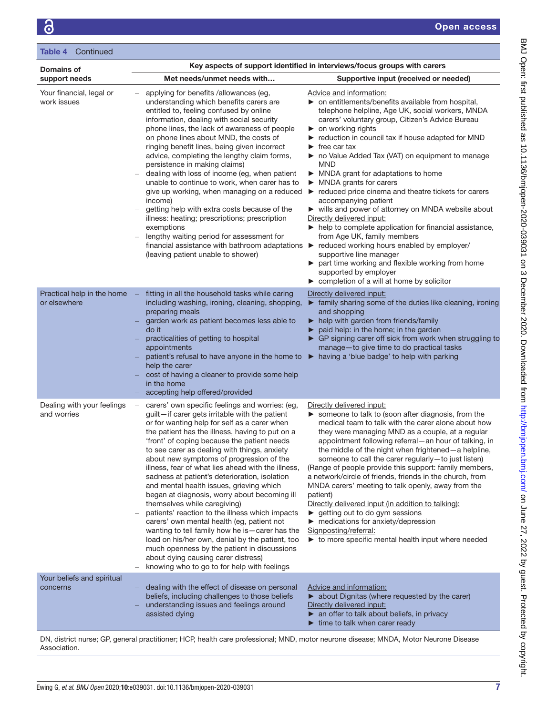| Table 4<br>Continued                       |                                                                                                                                                                                                                                                                                                                                                                                                                                                                                                                                                                                                                                                                                                                                                                                                                                                                                                                                          |                                                                                                                                                                                                                                                                                                                                                                                                                                                                                                                                                                                                                                                                                                                                                                                                                                                                                                                                                                                                   |  |
|--------------------------------------------|------------------------------------------------------------------------------------------------------------------------------------------------------------------------------------------------------------------------------------------------------------------------------------------------------------------------------------------------------------------------------------------------------------------------------------------------------------------------------------------------------------------------------------------------------------------------------------------------------------------------------------------------------------------------------------------------------------------------------------------------------------------------------------------------------------------------------------------------------------------------------------------------------------------------------------------|---------------------------------------------------------------------------------------------------------------------------------------------------------------------------------------------------------------------------------------------------------------------------------------------------------------------------------------------------------------------------------------------------------------------------------------------------------------------------------------------------------------------------------------------------------------------------------------------------------------------------------------------------------------------------------------------------------------------------------------------------------------------------------------------------------------------------------------------------------------------------------------------------------------------------------------------------------------------------------------------------|--|
| Domains of                                 | Key aspects of support identified in interviews/focus groups with carers                                                                                                                                                                                                                                                                                                                                                                                                                                                                                                                                                                                                                                                                                                                                                                                                                                                                 |                                                                                                                                                                                                                                                                                                                                                                                                                                                                                                                                                                                                                                                                                                                                                                                                                                                                                                                                                                                                   |  |
| support needs                              | Met needs/unmet needs with                                                                                                                                                                                                                                                                                                                                                                                                                                                                                                                                                                                                                                                                                                                                                                                                                                                                                                               | Supportive input (received or needed)                                                                                                                                                                                                                                                                                                                                                                                                                                                                                                                                                                                                                                                                                                                                                                                                                                                                                                                                                             |  |
| Your financial, legal or<br>work issues    | applying for benefits /allowances (eg,<br>understanding which benefits carers are<br>entitled to, feeling confused by online<br>information, dealing with social security<br>phone lines, the lack of awareness of people<br>on phone lines about MND, the costs of<br>ringing benefit lines, being given incorrect<br>advice, completing the lengthy claim forms,<br>persistence in making claims)<br>dealing with loss of income (eg, when patient<br>unable to continue to work, when carer has to<br>give up working, when managing on a reduced<br>income)<br>getting help with extra costs because of the<br>illness: heating; prescriptions; prescription<br>exemptions<br>lengthy waiting period for assessment for<br>financial assistance with bathroom adaptations<br>(leaving patient unable to shower)                                                                                                                      | Advice and information:<br>• on entitlements/benefits available from hospital,<br>telephone helpline, Age UK, social workers, MNDA<br>carers' voluntary group, Citizen's Advice Bureau<br>$\triangleright$ on working rights<br>reduction in council tax if house adapted for MND<br>$\blacktriangleright$ free car tax<br>no Value Added Tax (VAT) on equipment to manage<br>MND<br>MNDA grant for adaptations to home<br>$\blacktriangleright$ MNDA grants for carers<br>$\blacktriangleright$ reduced price cinema and theatre tickets for carers<br>accompanying patient<br>wills and power of attorney on MNDA website about<br>Directly delivered input:<br>$\blacktriangleright$ help to complete application for financial assistance,<br>from Age UK, family members<br>reduced working hours enabled by employer/<br>supportive line manager<br>part time working and flexible working from home<br>supported by employer<br>$\triangleright$ completion of a will at home by solicitor |  |
| Practical help in the home<br>or elsewhere | fitting in all the household tasks while caring<br>including washing, ironing, cleaning, shopping,<br>preparing meals<br>garden work as patient becomes less able to<br>do it<br>practicalities of getting to hospital<br>appointments<br>patient's refusal to have anyone in the home to ▶ having a 'blue badge' to help with parking<br>help the carer<br>cost of having a cleaner to provide some help<br>in the home<br>accepting help offered/provided                                                                                                                                                                                                                                                                                                                                                                                                                                                                              | Directly delivered input:<br>▶ family sharing some of the duties like cleaning, ironing<br>and shopping<br>$\blacktriangleright$ help with garden from friends/family<br>paid help: in the home; in the garden<br>▶ GP signing carer off sick from work when struggling to<br>manage-to give time to do practical tasks                                                                                                                                                                                                                                                                                                                                                                                                                                                                                                                                                                                                                                                                           |  |
| Dealing with your feelings<br>and worries  | carers' own specific feelings and worries: (eg,<br>$ \,$<br>quilt-if carer gets irritable with the patient<br>or for wanting help for self as a carer when<br>the patient has the illness, having to put on a<br>'front' of coping because the patient needs<br>to see carer as dealing with things, anxiety<br>about new symptoms of progression of the<br>illness, fear of what lies ahead with the illness,<br>sadness at patient's deterioration, isolation<br>and mental health issues, grieving which<br>began at diagnosis, worry about becoming ill<br>themselves while caregiving)<br>patients' reaction to the illness which impacts<br>carers' own mental health (eg, patient not<br>wanting to tell family how he is - carer has the<br>load on his/her own, denial by the patient, too<br>much openness by the patient in discussions<br>about dying causing carer distress)<br>knowing who to go to for help with feelings | Directly delivered input:<br>Someone to talk to (soon after diagnosis, from the<br>medical team to talk with the carer alone about how<br>they were managing MND as a couple, at a regular<br>appointment following referral - an hour of talking, in<br>the middle of the night when frightened-a helpline,<br>someone to call the carer regularly-to just listen)<br>(Range of people provide this support: family members,<br>a network/circle of friends, friends in the church, from<br>MNDA carers' meeting to talk openly, away from the<br>patient)<br>Directly delivered input (in addition to talking):<br>▶ getting out to do gym sessions<br>$\blacktriangleright$ medications for anxiety/depression<br>Signposting/referral:<br>to more specific mental health input where needed                                                                                                                                                                                                   |  |
| Your beliefs and spiritual<br>concerns     | dealing with the effect of disease on personal<br>beliefs, including challenges to those beliefs<br>understanding issues and feelings around<br>assisted dying                                                                                                                                                                                                                                                                                                                                                                                                                                                                                                                                                                                                                                                                                                                                                                           | Advice and information:<br>• about Dignitas (where requested by the carer)<br>Directly delivered input:<br>$\triangleright$ an offer to talk about beliefs, in privacy<br>$\blacktriangleright$ time to talk when carer ready                                                                                                                                                                                                                                                                                                                                                                                                                                                                                                                                                                                                                                                                                                                                                                     |  |

DN, district nurse; GP, general practitioner; HCP, health care professional; MND, motor neurone disease; MNDA, Motor Neurone Disease Association.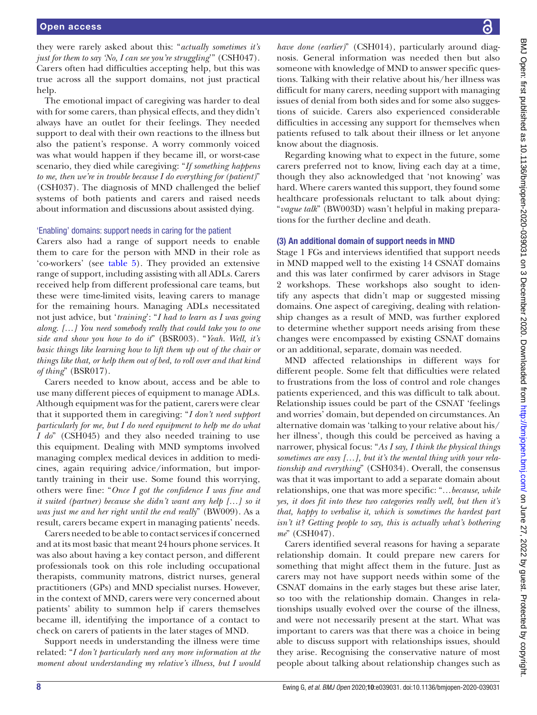they were rarely asked about this: "*actually sometimes it's just for them to say 'No, I can see you're struggling*'" (CSH047). Carers often had difficulties accepting help, but this was true across all the support domains, not just practical help.

The emotional impact of caregiving was harder to deal with for some carers, than physical effects, and they didn't always have an outlet for their feelings. They needed support to deal with their own reactions to the illness but also the patient's response. A worry commonly voiced was what would happen if they became ill, or worst-case scenario, they died while caregiving: "*If something happens to me, then we're in trouble because I do everything for (patient)*" (CSH037). The diagnosis of MND challenged the belief systems of both patients and carers and raised needs about information and discussions about assisted dying.

#### 'Enabling' domains: support needs in caring for the patient

Carers also had a range of support needs to enable them to care for the person with MND in their role as 'co-workers' (see [table](#page-8-0) 5). They provided an extensive range of support, including assisting with all ADLs. Carers received help from different professional care teams, but these were time-limited visits, leaving carers to manage for the remaining hours. Managing ADLs necessitated not just advice, but '*training*': "*I had to learn as I was going along. […] You need somebody really that could take you to one side and show you how to do it*" (BSR003). "*Yeah. Well, it's basic things like learning how to lift them up out of the chair or things like that, or help them out of bed, to roll over and that kind of thing*" (BSR017).

Carers needed to know about, access and be able to use many different pieces of equipment to manage ADLs. Although equipment was for the patient, carers were clear that it supported them in caregiving: "*I don't need support particularly for me, but I do need equipment to help me do what I do*" (CSH045) and they also needed training to use this equipment. Dealing with MND symptoms involved managing complex medical devices in addition to medicines, again requiring advice/information, but importantly training in their use. Some found this worrying, others were fine: "*Once I got the confidence I was fine and it suited (partner) because she didn't want any help […] so it was just me and her right until the end really*" (BW009). As a result, carers became expert in managing patients' needs.

Carers needed to be able to contact services if concerned and at its most basic that meant 24hours phone services. It was also about having a key contact person, and different professionals took on this role including occupational therapists, community matrons, district nurses, general practitioners (GPs) and MND specialist nurses. However, in the context of MND, carers were very concerned about patients' ability to summon help if carers themselves became ill, identifying the importance of a contact to check on carers of patients in the later stages of MND.

Support needs in understanding the illness were time related: "*I don't particularly need any more information at the moment about understanding my relative's illness, but I would* 

*have done (earlier)*" (CSH014), particularly around diagnosis. General information was needed then but also someone with knowledge of MND to answer specific questions. Talking with their relative about his/her illness was difficult for many carers, needing support with managing issues of denial from both sides and for some also suggestions of suicide. Carers also experienced considerable difficulties in accessing any support for themselves when patients refused to talk about their illness or let anyone know about the diagnosis.

Regarding knowing what to expect in the future, some carers preferred not to know, living each day at a time, though they also acknowledged that 'not knowing' was hard. Where carers wanted this support, they found some healthcare professionals reluctant to talk about dying: "*vague talk*" (BW003D) wasn't helpful in making preparations for the further decline and death.

#### (3) An additional domain of support needs in MND

Stage 1 FGs and interviews identified that support needs in MND mapped well to the existing 14 CSNAT domains and this was later confirmed by carer advisors in Stage 2 workshops. These workshops also sought to identify any aspects that didn't map or suggested missing domains. One aspect of caregiving, dealing with relationship changes as a result of MND, was further explored to determine whether support needs arising from these changes were encompassed by existing CSNAT domains or an additional, separate, domain was needed.

MND affected relationships in different ways for different people. Some felt that difficulties were related to frustrations from the loss of control and role changes patients experienced, and this was difficult to talk about. Relationship issues could be part of the CSNAT 'feelings and worries' domain, but depended on circumstances. An alternative domain was 'talking to your relative about his/ her illness', though this could be perceived as having a narrower, physical focus: "*As I say, I think the physical things sometimes are easy […], but it's the mental thing with your relationship and everything*" (CSH034). Overall, the consensus was that it was important to add a separate domain about relationships, one that was more specific: "*…because, while yes, it does fit into these two categories really well, but then it's that, happy to verbalise it, which is sometimes the hardest part isn't it? Getting people to say, this is actually what's bothering me*" (CSH047).

Carers identified several reasons for having a separate relationship domain. It could prepare new carers for something that might affect them in the future. Just as carers may not have support needs within some of the CSNAT domains in the early stages but these arise later, so too with the relationship domain. Changes in relationships usually evolved over the course of the illness, and were not necessarily present at the start. What was important to carers was that there was a choice in being able to discuss support with relationships issues, should they arise. Recognising the conservative nature of most people about talking about relationship changes such as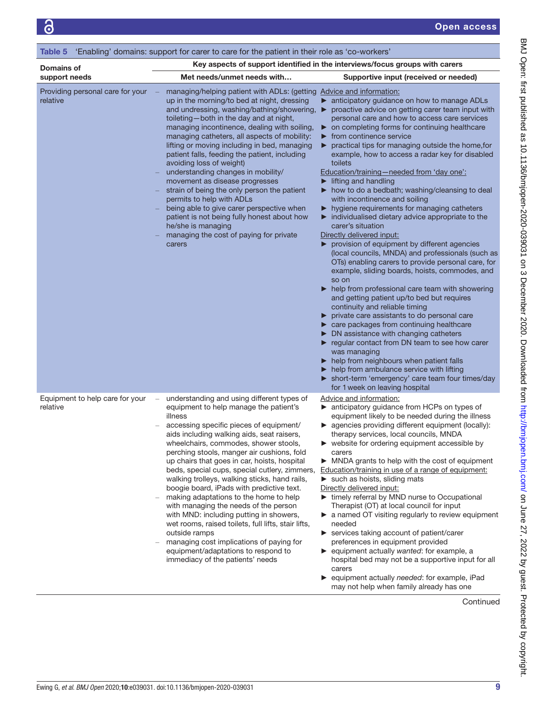<span id="page-8-0"></span>

| 'Enabling' domains: support for carer to care for the patient in their role as 'co-workers'<br>Table 5 |                                                                                                                                                                                                                                                                                                                                                                                                                                                                                                                                                                                                                                                                                                                                                                                                                                         |                                                                                                                                                                                                                                                                                                                                                                                                                                                                                                                                                                                                                                                                                                                                                                                                                                                                                                                                                                                                                                                                                                                                                                                                                                                                                                                                                                                                                                                                                                                                                             |  |
|--------------------------------------------------------------------------------------------------------|-----------------------------------------------------------------------------------------------------------------------------------------------------------------------------------------------------------------------------------------------------------------------------------------------------------------------------------------------------------------------------------------------------------------------------------------------------------------------------------------------------------------------------------------------------------------------------------------------------------------------------------------------------------------------------------------------------------------------------------------------------------------------------------------------------------------------------------------|-------------------------------------------------------------------------------------------------------------------------------------------------------------------------------------------------------------------------------------------------------------------------------------------------------------------------------------------------------------------------------------------------------------------------------------------------------------------------------------------------------------------------------------------------------------------------------------------------------------------------------------------------------------------------------------------------------------------------------------------------------------------------------------------------------------------------------------------------------------------------------------------------------------------------------------------------------------------------------------------------------------------------------------------------------------------------------------------------------------------------------------------------------------------------------------------------------------------------------------------------------------------------------------------------------------------------------------------------------------------------------------------------------------------------------------------------------------------------------------------------------------------------------------------------------------|--|
| <b>Domains of</b>                                                                                      |                                                                                                                                                                                                                                                                                                                                                                                                                                                                                                                                                                                                                                                                                                                                                                                                                                         | Key aspects of support identified in the interviews/focus groups with carers                                                                                                                                                                                                                                                                                                                                                                                                                                                                                                                                                                                                                                                                                                                                                                                                                                                                                                                                                                                                                                                                                                                                                                                                                                                                                                                                                                                                                                                                                |  |
| support needs                                                                                          | Met needs/unmet needs with                                                                                                                                                                                                                                                                                                                                                                                                                                                                                                                                                                                                                                                                                                                                                                                                              | Supportive input (received or needed)                                                                                                                                                                                                                                                                                                                                                                                                                                                                                                                                                                                                                                                                                                                                                                                                                                                                                                                                                                                                                                                                                                                                                                                                                                                                                                                                                                                                                                                                                                                       |  |
| Providing personal care for your<br>relative                                                           | managing/helping patient with ADLs: (getting Advice and information:<br>up in the morning/to bed at night, dressing<br>and undressing, washing/bathing/showering,<br>toileting-both in the day and at night,<br>managing incontinence, dealing with soiling,<br>managing catheters, all aspects of mobility:<br>lifting or moving including in bed, managing<br>patient falls, feeding the patient, including<br>avoiding loss of weight)<br>understanding changes in mobility/<br>movement as disease progresses<br>strain of being the only person the patient<br>permits to help with ADLs<br>being able to give carer perspective when<br>patient is not being fully honest about how<br>he/she is managing<br>managing the cost of paying for private<br>carers                                                                    | A anticipatory guidance on how to manage ADLs<br>proactive advice on getting carer team input with<br>$\blacktriangleright$<br>personal care and how to access care services<br>• on completing forms for continuing healthcare<br>$\blacktriangleright$ from continence service<br>$\blacktriangleright$ practical tips for managing outside the home, for<br>example, how to access a radar key for disabled<br>toilets<br>Education/training-needed from 'day one':<br>$\blacktriangleright$ lifting and handling<br>If how to do a bedbath; washing/cleansing to deal<br>with incontinence and soiling<br>▶ hygiene requirements for managing catheters<br>Individualised dietary advice appropriate to the<br>carer's situation<br>Directly delivered input:<br>provision of equipment by different agencies<br>(local councils, MNDA) and professionals (such as<br>OTs) enabling carers to provide personal care, for<br>example, sliding boards, hoists, commodes, and<br>so on<br>$\blacktriangleright$ help from professional care team with showering<br>and getting patient up/to bed but requires<br>continuity and reliable timing<br>private care assistants to do personal care<br>• care packages from continuing healthcare<br>$\triangleright$ DN assistance with changing catheters<br>regular contact from DN team to see how carer<br>was managing<br>In help from neighbours when patient falls<br>▶ help from ambulance service with lifting<br>> short-term 'emergency' care team four times/day<br>for 1 week on leaving hospital |  |
| Equipment to help care for your<br>relative                                                            | understanding and using different types of<br>$\overline{\phantom{0}}$<br>equipment to help manage the patient's<br>illness<br>accessing specific pieces of equipment/<br>aids including walking aids, seat raisers,<br>wheelchairs, commodes, shower stools,<br>perching stools, manger air cushions, fold<br>up chairs that goes in car, hoists, hospital<br>beds, special cups, special cutlery, zimmers,<br>walking trolleys, walking sticks, hand rails,<br>boogie board, iPads with predictive text.<br>making adaptations to the home to help<br>with managing the needs of the person<br>with MND: including putting in showers,<br>wet rooms, raised toilets, full lifts, stair lifts,<br>outside ramps<br>managing cost implications of paying for<br>equipment/adaptations to respond to<br>immediacy of the patients' needs | Advice and information:<br>• anticipatory guidance from HCPs on types of<br>equipment likely to be needed during the illness<br>▶ agencies providing different equipment (locally):<br>therapy services, local councils, MNDA<br>▶ website for ordering equipment accessible by<br>carers<br>$\triangleright$ MNDA grants to help with the cost of equipment<br>Education/training in use of a range of equipment:<br>$\triangleright$ such as hoists, sliding mats<br>Directly delivered input:<br>timely referral by MND nurse to Occupational<br>Therapist (OT) at local council for input<br>• a named OT visiting regularly to review equipment<br>needed<br>Services taking account of patient/carer<br>preferences in equipment provided<br>equipment actually wanted: for example, a<br>hospital bed may not be a supportive input for all<br>carers<br>► equipment actually needed: for example, iPad<br>may not help when family already has one                                                                                                                                                                                                                                                                                                                                                                                                                                                                                                                                                                                                  |  |

Continued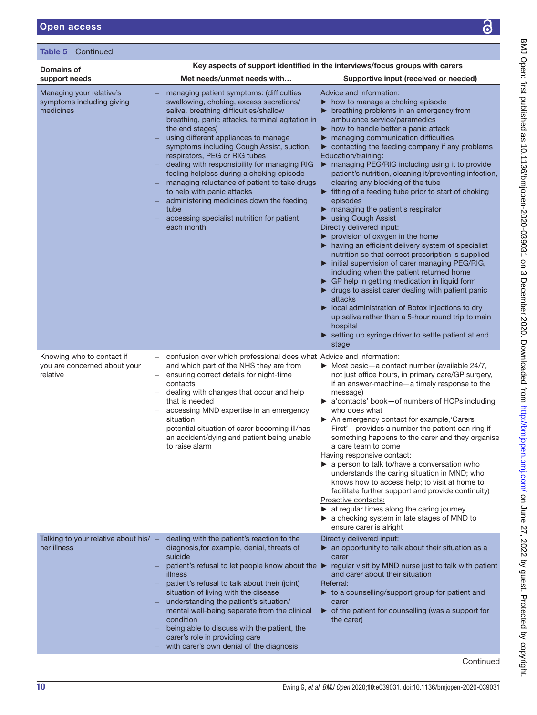| <b>Table 5 Continued</b>                                              |                                                                                                                                                                                                                                                                                                                                                                                                                                                                                                                                                                                                                      |                                                                                                                                                                                                                                                                                                                                                                                                                                                                                                                                                                                                                                                                                                                                                                                                                                                                                                                                                                                                                                                                                                                                                                                                                                                           |
|-----------------------------------------------------------------------|----------------------------------------------------------------------------------------------------------------------------------------------------------------------------------------------------------------------------------------------------------------------------------------------------------------------------------------------------------------------------------------------------------------------------------------------------------------------------------------------------------------------------------------------------------------------------------------------------------------------|-----------------------------------------------------------------------------------------------------------------------------------------------------------------------------------------------------------------------------------------------------------------------------------------------------------------------------------------------------------------------------------------------------------------------------------------------------------------------------------------------------------------------------------------------------------------------------------------------------------------------------------------------------------------------------------------------------------------------------------------------------------------------------------------------------------------------------------------------------------------------------------------------------------------------------------------------------------------------------------------------------------------------------------------------------------------------------------------------------------------------------------------------------------------------------------------------------------------------------------------------------------|
| Domains of                                                            |                                                                                                                                                                                                                                                                                                                                                                                                                                                                                                                                                                                                                      | Key aspects of support identified in the interviews/focus groups with carers                                                                                                                                                                                                                                                                                                                                                                                                                                                                                                                                                                                                                                                                                                                                                                                                                                                                                                                                                                                                                                                                                                                                                                              |
| support needs                                                         | Met needs/unmet needs with                                                                                                                                                                                                                                                                                                                                                                                                                                                                                                                                                                                           | Supportive input (received or needed)                                                                                                                                                                                                                                                                                                                                                                                                                                                                                                                                                                                                                                                                                                                                                                                                                                                                                                                                                                                                                                                                                                                                                                                                                     |
| Managing your relative's<br>symptoms including giving<br>medicines    | managing patient symptoms: (difficulties<br>swallowing, choking, excess secretions/<br>saliva, breathing difficulties/shallow<br>breathing, panic attacks, terminal agitation in<br>the end stages)<br>using different appliances to manage<br>symptoms including Cough Assist, suction,<br>respirators, PEG or RIG tubes<br>dealing with responsibility for managing RIG<br>feeling helpless during a choking episode<br>managing reluctance of patient to take drugs<br>to help with panic attacks<br>administering medicines down the feeding<br>tube<br>accessing specialist nutrition for patient<br>each month | Advice and information:<br>$\blacktriangleright$ how to manage a choking episode<br>breathing problems in an emergency from<br>▶<br>ambulance service/paramedics<br>$\blacktriangleright$ how to handle better a panic attack<br>managing communication difficulties<br>$\triangleright$ contacting the feeding company if any problems<br>Education/training:<br>managing PEG/RIG including using it to provide<br>patient's nutrition, cleaning it/preventing infection,<br>clearing any blocking of the tube<br>If fitting of a feeding tube prior to start of choking<br>episodes<br>$\blacktriangleright$ managing the patient's respirator<br>using Cough Assist<br>Directly delivered input:<br>provision of oxygen in the home<br>In having an efficient delivery system of specialist<br>nutrition so that correct prescription is supplied<br>initial supervision of carer managing PEG/RIG,<br>including when the patient returned home<br>GP help in getting medication in liquid form<br>In drugs to assist carer dealing with patient panic<br>attacks<br>▶ local administration of Botox injections to dry<br>up saliva rather than a 5-hour round trip to main<br>hospital<br>Setting up syringe driver to settle patient at end<br>stage |
| Knowing who to contact if<br>you are concerned about your<br>relative | confusion over which professional does what Advice and information:<br>and which part of the NHS they are from<br>ensuring correct details for night-time<br>$\overline{\phantom{0}}$<br>contacts<br>dealing with changes that occur and help<br>that is needed<br>accessing MND expertise in an emergency<br>situation<br>potential situation of carer becoming ill/has<br>an accident/dying and patient being unable<br>to raise alarm                                                                                                                                                                             | Most basic-a contact number (available 24/7,<br>not just office hours, in primary care/GP surgery,<br>if an answer-machine-a timely response to the<br>message)<br>• a'contacts' book-of numbers of HCPs including<br>who does what<br>An emergency contact for example, 'Carers'<br>First'-provides a number the patient can ring if<br>something happens to the carer and they organise<br>a care team to come<br>Having responsive contact:<br>$\triangleright$ a person to talk to/have a conversation (who<br>understands the caring situation in MND; who<br>knows how to access help; to visit at home to<br>facilitate further support and provide continuity)<br>Proactive contacts:<br>$\blacktriangleright$ at regular times along the caring journey<br>$\triangleright$ a checking system in late stages of MND to<br>ensure carer is alright                                                                                                                                                                                                                                                                                                                                                                                                |
| Talking to your relative about his/ -<br>her illness                  | dealing with the patient's reaction to the<br>diagnosis, for example, denial, threats of<br>suicide<br>illness<br>patient's refusal to talk about their (joint)<br>situation of living with the disease<br>understanding the patient's situation/<br>mental well-being separate from the clinical<br>condition<br>being able to discuss with the patient, the<br>carer's role in providing care<br>with carer's own denial of the diagnosis                                                                                                                                                                          | Directly delivered input:<br>▶ an opportunity to talk about their situation as a<br>carer<br>patient's refusal to let people know about the > regular visit by MND nurse just to talk with patient<br>and carer about their situation<br>Referral:<br>$\triangleright$ to a counselling/support group for patient and<br>carer<br>$\triangleright$ of the patient for counselling (was a support for<br>the carer)                                                                                                                                                                                                                                                                                                                                                                                                                                                                                                                                                                                                                                                                                                                                                                                                                                        |
|                                                                       |                                                                                                                                                                                                                                                                                                                                                                                                                                                                                                                                                                                                                      | Continued                                                                                                                                                                                                                                                                                                                                                                                                                                                                                                                                                                                                                                                                                                                                                                                                                                                                                                                                                                                                                                                                                                                                                                                                                                                 |

 $\overline{\partial}$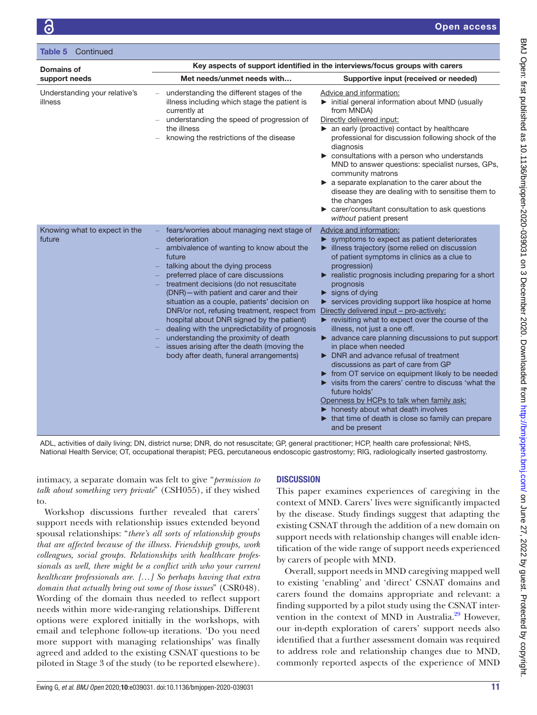| <b>Table 5 Continued</b>                 |                                                                                                                                                                                                                                                                                                                                                                                                                                                                                                                                                                                                                    |                                                                                                                                                                                                                                                                                                                                                                                                                                                                                                                                                                                                                                                                                                                                                                                                                                                                                                                                                                                    |  |  |
|------------------------------------------|--------------------------------------------------------------------------------------------------------------------------------------------------------------------------------------------------------------------------------------------------------------------------------------------------------------------------------------------------------------------------------------------------------------------------------------------------------------------------------------------------------------------------------------------------------------------------------------------------------------------|------------------------------------------------------------------------------------------------------------------------------------------------------------------------------------------------------------------------------------------------------------------------------------------------------------------------------------------------------------------------------------------------------------------------------------------------------------------------------------------------------------------------------------------------------------------------------------------------------------------------------------------------------------------------------------------------------------------------------------------------------------------------------------------------------------------------------------------------------------------------------------------------------------------------------------------------------------------------------------|--|--|
| Domains of                               | Key aspects of support identified in the interviews/focus groups with carers                                                                                                                                                                                                                                                                                                                                                                                                                                                                                                                                       |                                                                                                                                                                                                                                                                                                                                                                                                                                                                                                                                                                                                                                                                                                                                                                                                                                                                                                                                                                                    |  |  |
| support needs                            | Met needs/unmet needs with                                                                                                                                                                                                                                                                                                                                                                                                                                                                                                                                                                                         | Supportive input (received or needed)                                                                                                                                                                                                                                                                                                                                                                                                                                                                                                                                                                                                                                                                                                                                                                                                                                                                                                                                              |  |  |
| Understanding your relative's<br>illness | understanding the different stages of the<br>illness including which stage the patient is<br>currently at<br>understanding the speed of progression of<br>the illness<br>knowing the restrictions of the disease                                                                                                                                                                                                                                                                                                                                                                                                   | Advice and information:<br>initial general information about MND (usually<br>from MNDA)<br>Directly delivered input:<br>• an early (proactive) contact by healthcare<br>professional for discussion following shock of the<br>diagnosis<br>$\triangleright$ consultations with a person who understands<br>MND to answer questions: specialist nurses, GPs,<br>community matrons<br>$\triangleright$ a separate explanation to the carer about the<br>disease they are dealing with to sensitise them to<br>the changes<br>> carer/consultant consultation to ask questions<br>without patient present                                                                                                                                                                                                                                                                                                                                                                             |  |  |
| Knowing what to expect in the<br>future  | fears/worries about managing next stage of<br>deterioration<br>ambivalence of wanting to know about the<br>future<br>talking about the dying process<br>preferred place of care discussions<br>treatment decisions (do not resuscitate<br>(DNR) – with patient and carer and their<br>situation as a couple, patients' decision on<br>DNR/or not, refusing treatment, respect from<br>hospital about DNR signed by the patient)<br>dealing with the unpredictability of prognosis<br>understanding the proximity of death<br>issues arising after the death (moving the<br>body after death, funeral arrangements) | Advice and information:<br>▶ symptoms to expect as patient deteriorates<br>Illness trajectory (some relied on discussion<br>of patient symptoms in clinics as a clue to<br>progression)<br>$\blacktriangleright$ realistic prognosis including preparing for a short<br>prognosis<br>$\triangleright$ signs of dying<br>services providing support like hospice at home<br>Directly delivered input - pro-actively:<br>revisiting what to expect over the course of the<br>illness, not just a one off.<br>• advance care planning discussions to put support<br>in place when needed<br>$\triangleright$ DNR and advance refusal of treatment<br>discussions as part of care from GP<br>▶ from OT service on equipment likely to be needed<br>visits from the carers' centre to discuss 'what the<br>future holds'<br>Openness by HCPs to talk when family ask:<br>In honesty about what death involves<br>In that time of death is close so family can prepare<br>and be present |  |  |

ADL, activities of daily living; DN, district nurse; DNR, do not resuscitate; GP, general practitioner; HCP, health care professional; NHS, National Health Service; OT, occupational therapist; PEG, percutaneous endoscopic gastrostomy; RIG, radiologically inserted gastrostomy.

intimacy, a separate domain was felt to give "*permission to talk about something very private*" (CSH055), if they wished to.

Workshop discussions further revealed that carers' support needs with relationship issues extended beyond spousal relationships: "*there's all sorts of relationship groups that are affected because of the illness. Friendship groups, work colleagues, social groups. Relationships with healthcare professionals as well, there might be a conflict with who your current healthcare professionals are. […] So perhaps having that extra domain that actually bring out some of those issues*" (CSR048). Wording of the domain thus needed to reflect support needs within more wide-ranging relationships. Different options were explored initially in the workshops, with email and telephone follow-up iterations. 'Do you need more support with managing relationships' was finally agreed and added to the existing CSNAT questions to be piloted in Stage 3 of the study (to be reported elsewhere).

# **DISCUSSION**

This paper examines experiences of caregiving in the context of MND. Carers' lives were significantly impacted by the disease. Study findings suggest that adapting the existing CSNAT through the addition of a new domain on support needs with relationship changes will enable identification of the wide range of support needs experienced by carers of people with MND.

Overall, support needs in MND caregiving mapped well to existing 'enabling' and 'direct' CSNAT domains and carers found the domains appropriate and relevant: a finding supported by a pilot study using the CSNAT intervention in the context of MND in Australia.<sup>29</sup> However, our in-depth exploration of carers' support needs also identified that a further assessment domain was required to address role and relationship changes due to MND, commonly reported aspects of the experience of MND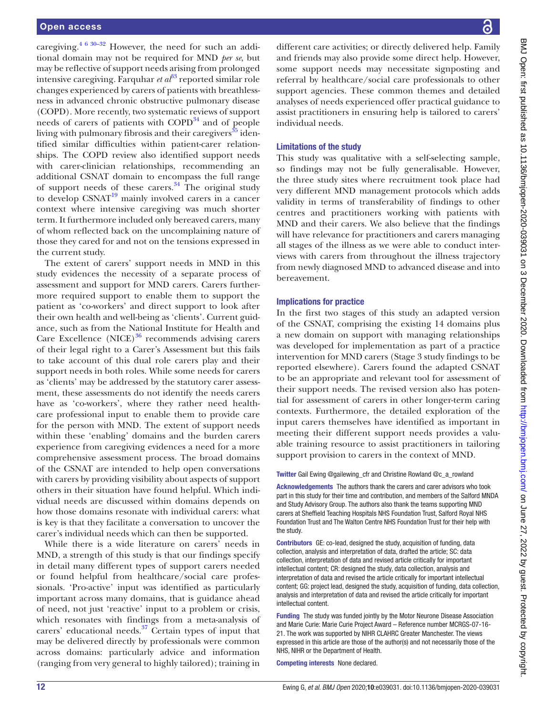caregiving.<sup>[4 6 30–32](#page-12-3)</sup> However, the need for such an additional domain may not be required for MND *per se*, but may be reflective of support needs arising from prolonged intensive caregiving. Farquhar *et al*<sup>[33](#page-12-17)</sup> reported similar role changes experienced by carers of patients with breathlessness in advanced chronic obstructive pulmonary disease (COPD). More recently, two systematic reviews of support needs of carers of patients with  $\text{COPD}^{34}$  and of people living with pulmonary fibrosis and their caregivers<sup>35</sup> identified similar difficulties within patient-carer relationships. The COPD review also identified support needs with carer-clinician relationships, recommending an additional CSNAT domain to encompass the full range of support needs of these carers. $34$  The original study to develop  $\text{CSNAT}^{19}$  mainly involved carers in a cancer context where intensive caregiving was much shorter term. It furthermore included only bereaved carers, many of whom reflected back on the uncomplaining nature of those they cared for and not on the tensions expressed in the current study.

The extent of carers' support needs in MND in this study evidences the necessity of a separate process of assessment and support for MND carers. Carers furthermore required support to enable them to support the patient as 'co-workers' and direct support to look after their own health and well-being as 'clients'. Current guidance, such as from the National Institute for Health and Care Excellence  $(NICE)^{36}$  $(NICE)^{36}$  $(NICE)^{36}$  recommends advising carers of their legal right to a Carer's Assessment but this fails to take account of this dual role carers play and their support needs in both roles. While some needs for carers as 'clients' may be addressed by the statutory carer assessment, these assessments do not identify the needs carers have as 'co-workers', where they rather need healthcare professional input to enable them to provide care for the person with MND. The extent of support needs within these 'enabling' domains and the burden carers experience from caregiving evidences a need for a more comprehensive assessment process. The broad domains of the CSNAT are intended to help open conversations with carers by providing visibility about aspects of support others in their situation have found helpful. Which individual needs are discussed within domains depends on how those domains resonate with individual carers: what is key is that they facilitate a conversation to uncover the carer's individual needs which can then be supported.

While there is a wide literature on carers' needs in MND, a strength of this study is that our findings specify in detail many different types of support carers needed or found helpful from healthcare/social care professionals. 'Pro-active' input was identified as particularly important across many domains, that is guidance ahead of need, not just 'reactive' input to a problem or crisis, which resonates with findings from a meta-analysis of carers' educational needs. $37$  Certain types of input that may be delivered directly by professionals were common across domains: particularly advice and information (ranging from very general to highly tailored); training in

different care activities; or directly delivered help. Family and friends may also provide some direct help. However, some support needs may necessitate signposting and referral by healthcare/social care professionals to other support agencies. These common themes and detailed analyses of needs experienced offer practical guidance to assist practitioners in ensuring help is tailored to carers' individual needs.

#### Limitations of the study

This study was qualitative with a self-selecting sample, so findings may not be fully generalisable. However, the three study sites where recruitment took place had very different MND management protocols which adds validity in terms of transferability of findings to other centres and practitioners working with patients with MND and their carers. We also believe that the findings will have relevance for practitioners and carers managing all stages of the illness as we were able to conduct interviews with carers from throughout the illness trajectory from newly diagnosed MND to advanced disease and into bereavement.

#### Implications for practice

In the first two stages of this study an adapted version of the CSNAT, comprising the existing 14 domains plus a new domain on support with managing relationships was developed for implementation as part of a practice intervention for MND carers (Stage 3 study findings to be reported elsewhere). Carers found the adapted CSNAT to be an appropriate and relevant tool for assessment of their support needs. The revised version also has potential for assessment of carers in other longer-term caring contexts. Furthermore, the detailed exploration of the input carers themselves have identified as important in meeting their different support needs provides a valuable training resource to assist practitioners in tailoring support provision to carers in the context of MND.

#### Twitter Gail Ewing [@gailewing\\_cfr](https://twitter.com/gailewing_cfr) and Christine Rowland [@c\\_a\\_rowland](https://twitter.com/c_a_rowland)

Acknowledgements The authors thank the carers and carer advisors who took part in this study for their time and contribution, and members of the Salford MNDA and Study Advisory Group. The authors also thank the teams supporting MND carers at Sheffield Teaching Hospitals NHS Foundation Trust, Salford Royal NHS Foundation Trust and The Walton Centre NHS Foundation Trust for their help with the study.

Contributors GE: co-lead, designed the study, acquisition of funding, data collection, analysis and interpretation of data, drafted the article; SC: data collection, interpretation of data and revised article critically for important intellectual content; CR: designed the study, data collection, analysis and interpretation of data and revised the article critically for important intellectual content; GG: project lead, designed the study, acquisition of funding, data collection, analysis and interpretation of data and revised the article critically for important intellectual content.

Funding The study was funded jointly by the Motor Neurone Disease Association and Marie Curie: Marie Curie Project Award – Reference number MCRGS-07-16- 21. The work was supported by NIHR CLAHRC Greater Manchester. The views expressed in this article are those of the author(s) and not necessarily those of the NHS, NIHR or the Department of Health.

Competing interests None declared.